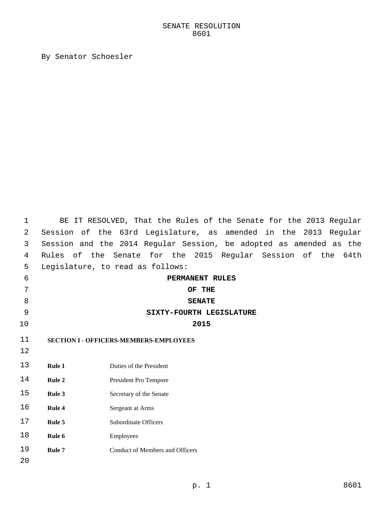# SENATE RESOLUTION

By Senator Schoesler

| 1  |              | BE IT RESOLVED, That the Rules of the Senate for the 2013 Regular  |
|----|--------------|--------------------------------------------------------------------|
| 2  |              | Session of the 63rd Legislature, as amended in the 2013 Regular    |
| 3  |              | Session and the 2014 Regular Session, be adopted as amended as the |
| 4  | Rules of the | Senate for the 2015 Regular Session of the<br>64th                 |
| 5  |              | Legislature, to read as follows:                                   |
| 6  |              | PERMANENT RULES                                                    |
| 7  |              | OF THE                                                             |
| 8  |              | <b>SENATE</b>                                                      |
| 9  |              | SIXTY-FOURTH LEGISLATURE                                           |
| 10 |              | 2015                                                               |
| 11 |              | <b>SECTION I - OFFICERS-MEMBERS-EMPLOYEES</b>                      |
| 12 |              |                                                                    |
| 13 | Rule 1       | Duties of the President                                            |
|    |              |                                                                    |
| 14 | Rule 2       | President Pro Tempore                                              |
| 15 | Rule 3       | Secretary of the Senate                                            |
| 16 | Rule 4       | Sergeant at Arms                                                   |
| 17 | Rule 5       | <b>Subordinate Officers</b>                                        |
| 18 | Rule 6       | Employees                                                          |
| 19 | Rule 7       | <b>Conduct of Members and Officers</b>                             |
| 20 |              |                                                                    |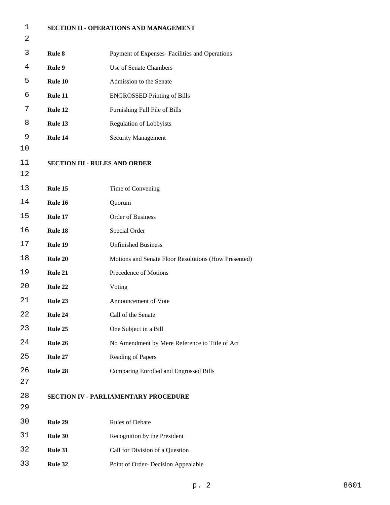| 1  | SECTION II - OPERATIONS AND MANAGEMENT |                                                      |
|----|----------------------------------------|------------------------------------------------------|
| 2  |                                        |                                                      |
| 3  | Rule 8                                 | Payment of Expenses- Facilities and Operations       |
| 4  | Rule 9                                 | Use of Senate Chambers                               |
| 5  | Rule 10                                | Admission to the Senate                              |
| 6  | Rule 11                                | <b>ENGROSSED Printing of Bills</b>                   |
| 7  | Rule 12                                | Furnishing Full File of Bills                        |
| 8  | Rule 13                                | <b>Regulation of Lobbyists</b>                       |
| 9  | Rule 14                                | <b>Security Management</b>                           |
| 10 |                                        |                                                      |
| 11 | <b>SECTION III - RULES AND ORDER</b>   |                                                      |
| 12 |                                        |                                                      |
| 13 | Rule 15                                | Time of Convening                                    |
| 14 | Rule 16                                | Quorum                                               |
| 15 | Rule 17                                | <b>Order of Business</b>                             |
| 16 | Rule 18                                | Special Order                                        |
| 17 | Rule 19                                | <b>Unfinished Business</b>                           |
| 18 | Rule 20                                | Motions and Senate Floor Resolutions (How Presented) |
| 19 | Rule 21                                | Precedence of Motions                                |
| 20 | Rule 22                                | Voting                                               |
| 21 | Rule 23                                | Announcement of Vote                                 |
| 22 | Rule 24                                | Call of the Senate                                   |
| 23 | Rule 25                                | One Subject in a Bill                                |
| 24 | Rule 26                                | No Amendment by Mere Reference to Title of Act       |
| 25 | Rule 27                                | Reading of Papers                                    |
| 26 | Rule 28                                | Comparing Enrolled and Engrossed Bills               |
| 27 |                                        |                                                      |
| 28 |                                        | <b>SECTION IV - PARLIAMENTARY PROCEDURE</b>          |
| 29 |                                        |                                                      |
| 30 | Rule 29                                | Rules of Debate                                      |
| 31 | Rule 30                                | Recognition by the President                         |
| 32 | Rule 31                                | Call for Division of a Question                      |
| 33 | Rule 32                                | Point of Order-Decision Appealable                   |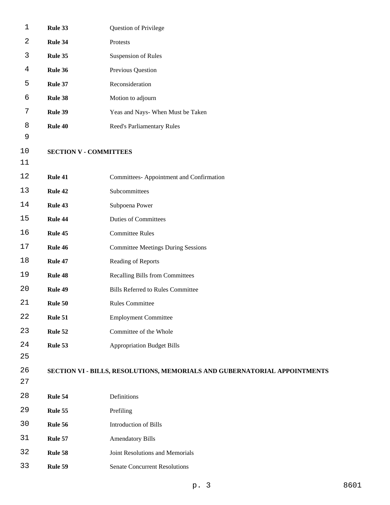| $\mathbf 1$ | Rule 33                       | Question of Privilege                                                     |  |
|-------------|-------------------------------|---------------------------------------------------------------------------|--|
| 2           | Rule 34                       | Protests                                                                  |  |
| 3           | Rule 35                       | <b>Suspension of Rules</b>                                                |  |
| 4           | Rule 36                       | Previous Question                                                         |  |
| 5           | Rule 37                       | Reconsideration                                                           |  |
| 6           | Rule 38                       | Motion to adjourn                                                         |  |
| 7           | Rule 39                       | Yeas and Nays- When Must be Taken                                         |  |
| 8           | Rule 40                       | Reed's Parliamentary Rules                                                |  |
| 9           |                               |                                                                           |  |
| 10          | <b>SECTION V - COMMITTEES</b> |                                                                           |  |
| 11          |                               |                                                                           |  |
| $1\,2$      | Rule 41                       | Committees- Appointment and Confirmation                                  |  |
| 13          | Rule 42                       | Subcommittees                                                             |  |
| 14          | Rule 43                       | Subpoena Power                                                            |  |
| 15          | Rule 44                       | <b>Duties of Committees</b>                                               |  |
| 16          | Rule 45                       | <b>Committee Rules</b>                                                    |  |
| 17          | Rule 46                       | <b>Committee Meetings During Sessions</b>                                 |  |
| 18          | Rule 47                       | Reading of Reports                                                        |  |
| 19          | Rule 48                       | <b>Recalling Bills from Committees</b>                                    |  |
| 20          | Rule 49                       | <b>Bills Referred to Rules Committee</b>                                  |  |
| 21          | Rule 50                       | <b>Rules Committee</b>                                                    |  |
| 22          | Rule 51                       | <b>Employment Committee</b>                                               |  |
| 23          | Rule 52                       | Committee of the Whole                                                    |  |
| 24          | Rule 53                       | <b>Appropriation Budget Bills</b>                                         |  |
| 25          |                               |                                                                           |  |
| 26          |                               | SECTION VI - BILLS, RESOLUTIONS, MEMORIALS AND GUBERNATORIAL APPOINTMENTS |  |
| 27          |                               |                                                                           |  |
| 28          | Rule 54                       | Definitions                                                               |  |
| 29          | Rule 55                       | Prefiling                                                                 |  |
| 30          | Rule 56                       | Introduction of Bills                                                     |  |
| 31          | Rule 57                       | <b>Amendatory Bills</b>                                                   |  |
| 32          | Rule 58                       | Joint Resolutions and Memorials                                           |  |
| 33          | Rule 59                       | <b>Senate Concurrent Resolutions</b>                                      |  |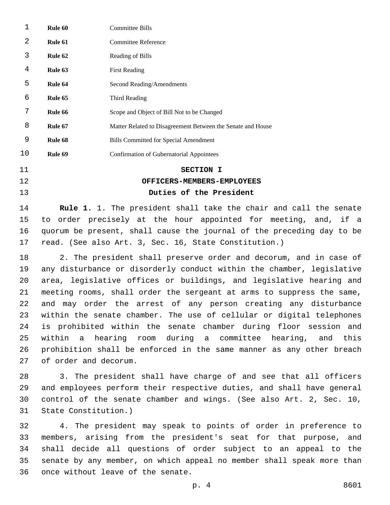| 1  | Rule 60 | <b>Committee Bills</b>                                      |
|----|---------|-------------------------------------------------------------|
| 2  | Rule 61 | Committee Reference                                         |
| 3  | Rule 62 | Reading of Bills                                            |
| 4  | Rule 63 | <b>First Reading</b>                                        |
| 5  | Rule 64 | Second Reading/Amendments                                   |
| 6  | Rule 65 | Third Reading                                               |
| 7  | Rule 66 | Scope and Object of Bill Not to be Changed                  |
| 8  | Rule 67 | Matter Related to Disagreement Between the Senate and House |
| 9  | Rule 68 | <b>Bills Committed for Special Amendment</b>                |
| 10 | Rule 69 | Confirmation of Gubernatorial Appointees                    |
| 11 |         | SECTION I                                                   |
|    |         |                                                             |

# **OFFICERS-MEMBERS-EMPLOYEES Duties of the President**

 **Rule 1.** 1. The president shall take the chair and call the senate to order precisely at the hour appointed for meeting, and, if a quorum be present, shall cause the journal of the preceding day to be read. (See also Art. 3, Sec. 16, State Constitution.)

 2. The president shall preserve order and decorum, and in case of any disturbance or disorderly conduct within the chamber, legislative area, legislative offices or buildings, and legislative hearing and meeting rooms, shall order the sergeant at arms to suppress the same, and may order the arrest of any person creating any disturbance within the senate chamber. The use of cellular or digital telephones is prohibited within the senate chamber during floor session and within a hearing room during a committee hearing, and this prohibition shall be enforced in the same manner as any other breach 27 of order and decorum.

 3. The president shall have charge of and see that all officers and employees perform their respective duties, and shall have general control of the senate chamber and wings. (See also Art. 2, Sec. 10, 31 State Constitution.)

 4. The president may speak to points of order in preference to members, arising from the president's seat for that purpose, and shall decide all questions of order subject to an appeal to the senate by any member, on which appeal no member shall speak more than 36 once without leave of the senate.

p. 4 8601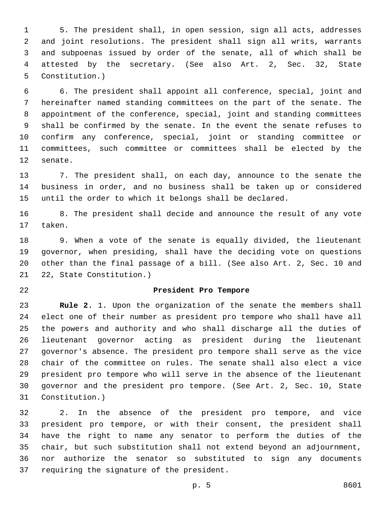5. The president shall, in open session, sign all acts, addresses and joint resolutions. The president shall sign all writs, warrants and subpoenas issued by order of the senate, all of which shall be attested by the secretary. (See also Art. 2, Sec. 32, State 5 Constitution.)

 6. The president shall appoint all conference, special, joint and hereinafter named standing committees on the part of the senate. The appointment of the conference, special, joint and standing committees shall be confirmed by the senate. In the event the senate refuses to confirm any conference, special, joint or standing committee or committees, such committee or committees shall be elected by the 12 senate.

 7. The president shall, on each day, announce to the senate the business in order, and no business shall be taken up or considered until the order to which it belongs shall be declared.

 8. The president shall decide and announce the result of any vote 17 taken.

 9. When a vote of the senate is equally divided, the lieutenant governor, when presiding, shall have the deciding vote on questions other than the final passage of a bill. (See also Art. 2, Sec. 10 and 21 22, State Constitution.)

#### **President Pro Tempore**

 **Rule 2.** 1. Upon the organization of the senate the members shall elect one of their number as president pro tempore who shall have all the powers and authority and who shall discharge all the duties of lieutenant governor acting as president during the lieutenant governor's absence. The president pro tempore shall serve as the vice chair of the committee on rules. The senate shall also elect a vice president pro tempore who will serve in the absence of the lieutenant governor and the president pro tempore. (See Art. 2, Sec. 10, State 31 Constitution.)

 2. In the absence of the president pro tempore, and vice president pro tempore, or with their consent, the president shall have the right to name any senator to perform the duties of the chair, but such substitution shall not extend beyond an adjournment, nor authorize the senator so substituted to sign any documents 37 requiring the signature of the president.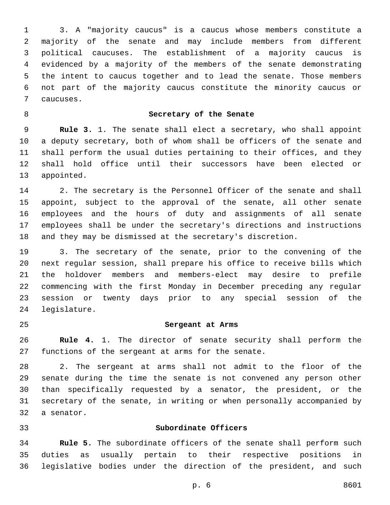3. A "majority caucus" is a caucus whose members constitute a majority of the senate and may include members from different political caucuses. The establishment of a majority caucus is evidenced by a majority of the members of the senate demonstrating the intent to caucus together and to lead the senate. Those members not part of the majority caucus constitute the minority caucus or caucuses.7

## **Secretary of the Senate**

 **Rule 3.** 1. The senate shall elect a secretary, who shall appoint a deputy secretary, both of whom shall be officers of the senate and shall perform the usual duties pertaining to their offices, and they shall hold office until their successors have been elected or 13 appointed.

 2. The secretary is the Personnel Officer of the senate and shall appoint, subject to the approval of the senate, all other senate employees and the hours of duty and assignments of all senate employees shall be under the secretary's directions and instructions and they may be dismissed at the secretary's discretion.

 3. The secretary of the senate, prior to the convening of the next regular session, shall prepare his office to receive bills which the holdover members and members-elect may desire to prefile commencing with the first Monday in December preceding any regular session or twenty days prior to any special session of the 24 legislature.

#### **Sergeant at Arms**

 **Rule 4.** 1. The director of senate security shall perform the 27 functions of the sergeant at arms for the senate.

 2. The sergeant at arms shall not admit to the floor of the senate during the time the senate is not convened any person other than specifically requested by a senator, the president, or the secretary of the senate, in writing or when personally accompanied by 32 a senator.

#### **Subordinate Officers**

 **Rule 5.** The subordinate officers of the senate shall perform such duties as usually pertain to their respective positions in legislative bodies under the direction of the president, and such

p. 6 8601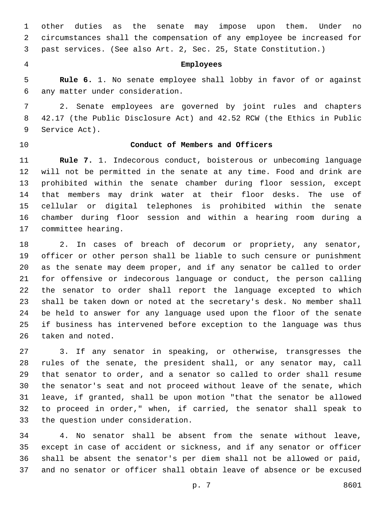other duties as the senate may impose upon them. Under no circumstances shall the compensation of any employee be increased for past services. (See also Art. 2, Sec. 25, State Constitution.)

## **Employees**

 **Rule 6.** 1. No senate employee shall lobby in favor of or against any matter under consideration.6

 2. Senate employees are governed by joint rules and chapters 42.17 (the Public Disclosure Act) and 42.52 RCW (the Ethics in Public 9 Service Act).

# **Conduct of Members and Officers**

 **Rule 7.** 1. Indecorous conduct, boisterous or unbecoming language will not be permitted in the senate at any time. Food and drink are prohibited within the senate chamber during floor session, except that members may drink water at their floor desks. The use of cellular or digital telephones is prohibited within the senate chamber during floor session and within a hearing room during a 17 committee hearing.

 2. In cases of breach of decorum or propriety, any senator, officer or other person shall be liable to such censure or punishment as the senate may deem proper, and if any senator be called to order for offensive or indecorous language or conduct, the person calling the senator to order shall report the language excepted to which shall be taken down or noted at the secretary's desk. No member shall be held to answer for any language used upon the floor of the senate if business has intervened before exception to the language was thus 26 taken and noted.

 3. If any senator in speaking, or otherwise, transgresses the rules of the senate, the president shall, or any senator may, call that senator to order, and a senator so called to order shall resume the senator's seat and not proceed without leave of the senate, which leave, if granted, shall be upon motion "that the senator be allowed to proceed in order," when, if carried, the senator shall speak to 33 the question under consideration.

 4. No senator shall be absent from the senate without leave, except in case of accident or sickness, and if any senator or officer shall be absent the senator's per diem shall not be allowed or paid, and no senator or officer shall obtain leave of absence or be excused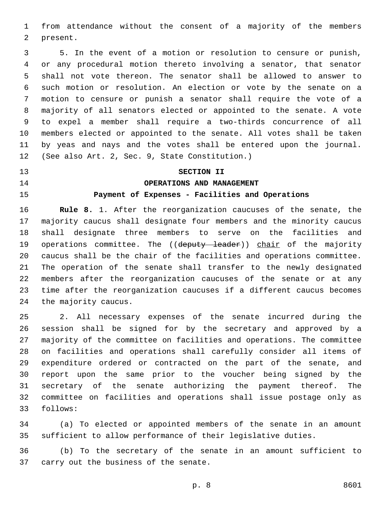from attendance without the consent of a majority of the members 2 present.

 5. In the event of a motion or resolution to censure or punish, or any procedural motion thereto involving a senator, that senator shall not vote thereon. The senator shall be allowed to answer to such motion or resolution. An election or vote by the senate on a motion to censure or punish a senator shall require the vote of a majority of all senators elected or appointed to the senate. A vote to expel a member shall require a two-thirds concurrence of all members elected or appointed to the senate. All votes shall be taken by yeas and nays and the votes shall be entered upon the journal. 12 (See also Art. 2, Sec. 9, State Constitution.)

# **SECTION II**

### **OPERATIONS AND MANAGEMENT**

# **Payment of Expenses - Facilities and Operations**

 **Rule 8.** 1. After the reorganization caucuses of the senate, the majority caucus shall designate four members and the minority caucus shall designate three members to serve on the facilities and 19 operations committee. The ((deputy leader)) chair of the majority caucus shall be the chair of the facilities and operations committee. The operation of the senate shall transfer to the newly designated members after the reorganization caucuses of the senate or at any time after the reorganization caucuses if a different caucus becomes 24 the majority caucus.

 2. All necessary expenses of the senate incurred during the session shall be signed for by the secretary and approved by a majority of the committee on facilities and operations. The committee on facilities and operations shall carefully consider all items of expenditure ordered or contracted on the part of the senate, and report upon the same prior to the voucher being signed by the secretary of the senate authorizing the payment thereof. The committee on facilities and operations shall issue postage only as 33 follows:

 (a) To elected or appointed members of the senate in an amount sufficient to allow performance of their legislative duties.

 (b) To the secretary of the senate in an amount sufficient to 37 carry out the business of the senate.

```
p. 8 8601
```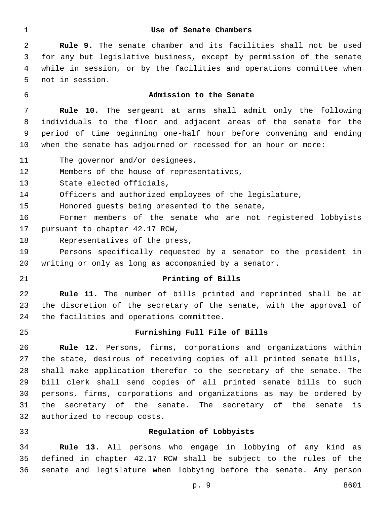#### **Use of Senate Chambers**

 **Rule 9.** The senate chamber and its facilities shall not be used for any but legislative business, except by permission of the senate while in session, or by the facilities and operations committee when 5 not in session.

# **Admission to the Senate**

 **Rule 10.** The sergeant at arms shall admit only the following individuals to the floor and adjacent areas of the senate for the period of time beginning one-half hour before convening and ending when the senate has adjourned or recessed for an hour or more:

11 The governor and/or designees,

12 Members of the house of representatives,

13 State elected officials,

Officers and authorized employees of the legislature,

15 Honored guests being presented to the senate,

 Former members of the senate who are not registered lobbyists 17 pursuant to chapter 42.17 RCW,

18 Representatives of the press,

 Persons specifically requested by a senator to the president in writing or only as long as accompanied by a senator.

#### **Printing of Bills**

 **Rule 11.** The number of bills printed and reprinted shall be at the discretion of the secretary of the senate, with the approval of 24 the facilities and operations committee.

#### **Furnishing Full File of Bills**

 **Rule 12.** Persons, firms, corporations and organizations within the state, desirous of receiving copies of all printed senate bills, shall make application therefor to the secretary of the senate. The bill clerk shall send copies of all printed senate bills to such persons, firms, corporations and organizations as may be ordered by the secretary of the senate. The secretary of the senate is 32 authorized to recoup costs.

#### **Regulation of Lobbyists**

 **Rule 13.** All persons who engage in lobbying of any kind as defined in chapter 42.17 RCW shall be subject to the rules of the senate and legislature when lobbying before the senate. Any person

p. 9 8601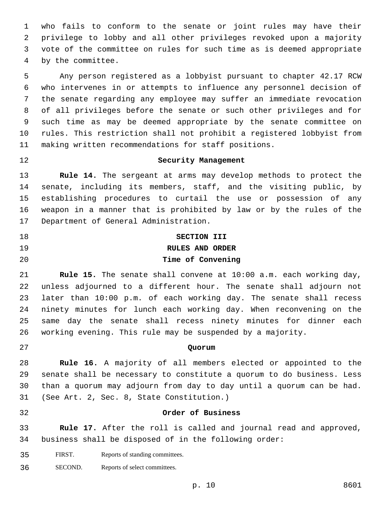who fails to conform to the senate or joint rules may have their privilege to lobby and all other privileges revoked upon a majority vote of the committee on rules for such time as is deemed appropriate 4 by the committee.

 Any person registered as a lobbyist pursuant to chapter 42.17 RCW who intervenes in or attempts to influence any personnel decision of the senate regarding any employee may suffer an immediate revocation of all privileges before the senate or such other privileges and for such time as may be deemed appropriate by the senate committee on rules. This restriction shall not prohibit a registered lobbyist from making written recommendations for staff positions.

# **Security Management**

 **Rule 14.** The sergeant at arms may develop methods to protect the senate, including its members, staff, and the visiting public, by establishing procedures to curtail the use or possession of any weapon in a manner that is prohibited by law or by the rules of the 17 Department of General Administration.

# **SECTION III RULES AND ORDER Time of Convening**

 **Rule 15.** The senate shall convene at 10:00 a.m. each working day, unless adjourned to a different hour. The senate shall adjourn not later than 10:00 p.m. of each working day. The senate shall recess ninety minutes for lunch each working day. When reconvening on the same day the senate shall recess ninety minutes for dinner each working evening. This rule may be suspended by a majority.

# **Quorum**

 **Rule 16.** A majority of all members elected or appointed to the senate shall be necessary to constitute a quorum to do business. Less than a quorum may adjourn from day to day until a quorum can be had. 31 (See Art. 2, Sec. 8, State Constitution.)

#### **Order of Business**

 **Rule 17.** After the roll is called and journal read and approved, business shall be disposed of in the following order:

- FIRST. Reports of standing committees.
- SECOND. Reports of select committees.

p. 10 8601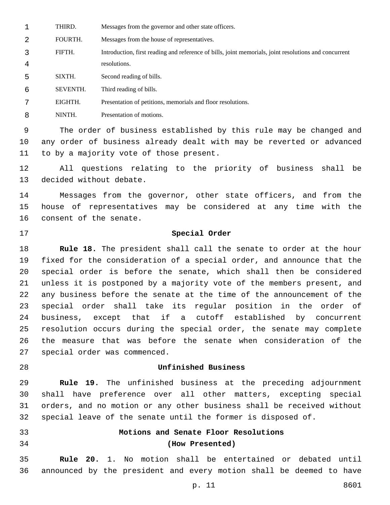THIRD. Messages from the governor and other state officers.

FOURTH. Messages from the house of representatives.

 FIFTH. Introduction, first reading and reference of bills, joint memorials, joint resolutions and concurrent resolutions.

SIXTH. Second reading of bills.

SEVENTH. Third reading of bills.

EIGHTH. Presentation of petitions, memorials and floor resolutions.

NINTH. Presentation of motions.

 The order of business established by this rule may be changed and any order of business already dealt with may be reverted or advanced 11 to by a majority vote of those present.

 All questions relating to the priority of business shall be 13 decided without debate.

 Messages from the governor, other state officers, and from the house of representatives may be considered at any time with the 16 consent of the senate.

# **Special Order**

 **Rule 18.** The president shall call the senate to order at the hour fixed for the consideration of a special order, and announce that the special order is before the senate, which shall then be considered unless it is postponed by a majority vote of the members present, and any business before the senate at the time of the announcement of the special order shall take its regular position in the order of business, except that if a cutoff established by concurrent resolution occurs during the special order, the senate may complete the measure that was before the senate when consideration of the 27 special order was commenced.

# **Unfinished Business**

 **Rule 19.** The unfinished business at the preceding adjournment shall have preference over all other matters, excepting special orders, and no motion or any other business shall be received without special leave of the senate until the former is disposed of.

- 
- 

# **Motions and Senate Floor Resolutions (How Presented)**

 **Rule 20.** 1. No motion shall be entertained or debated until announced by the president and every motion shall be deemed to have

p. 11 8601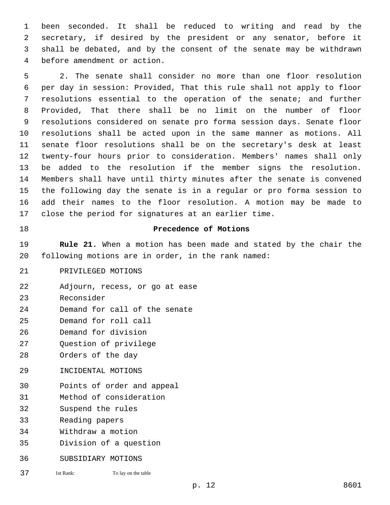been seconded. It shall be reduced to writing and read by the secretary, if desired by the president or any senator, before it shall be debated, and by the consent of the senate may be withdrawn 4 before amendment or action.

 2. The senate shall consider no more than one floor resolution per day in session: Provided, That this rule shall not apply to floor resolutions essential to the operation of the senate; and further Provided, That there shall be no limit on the number of floor resolutions considered on senate pro forma session days. Senate floor resolutions shall be acted upon in the same manner as motions. All senate floor resolutions shall be on the secretary's desk at least twenty-four hours prior to consideration. Members' names shall only be added to the resolution if the member signs the resolution. Members shall have until thirty minutes after the senate is convened the following day the senate is in a regular or pro forma session to add their names to the floor resolution. A motion may be made to close the period for signatures at an earlier time.

# 18 **Precedence of Motions**

19 **Rule 21.** When a motion has been made and stated by the chair the 20 following motions are in order, in the rank named:

21 PRIVILEGED MOTIONS

22 Adjourn, recess, or go at ease

23 Reconsider

- 24 Demand for call of the senate
- 25 Demand for roll call
- 26 Demand for division
- 27 Question of privilege
- 28 Orders of the day
- 29 INCIDENTAL MOTIONS
- 30 Points of order and appeal
- 31 Method of consideration
- 32 Suspend the rules
- 33 Reading papers
- 34 Withdraw a motion
- 35 Division of a question
- 36 SUBSIDIARY MOTIONS
- 37 1st Rank: To lay on the table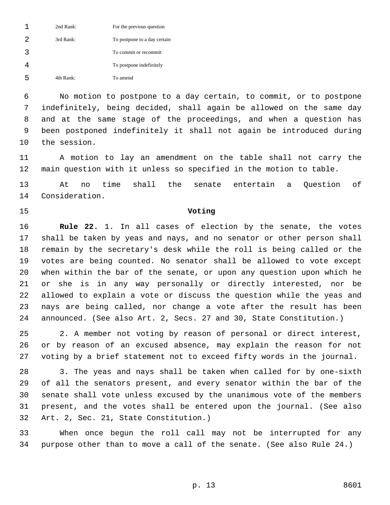|    | 2nd Rank: | For the previous question    |
|----|-----------|------------------------------|
| 2  | 3rd Rank: | To postpone to a day certain |
| ्र |           | To commit or recommit        |
|    |           | To postpone indefinitely     |
| հ  | 4th Rank: | To amend                     |

 No motion to postpone to a day certain, to commit, or to postpone indefinitely, being decided, shall again be allowed on the same day and at the same stage of the proceedings, and when a question has been postponed indefinitely it shall not again be introduced during 10 the session.

 A motion to lay an amendment on the table shall not carry the main question with it unless so specified in the motion to table.

 At no time shall the senate entertain a Question of 14 Consideration.

#### **Voting**

 **Rule 22.** 1. In all cases of election by the senate, the votes shall be taken by yeas and nays, and no senator or other person shall remain by the secretary's desk while the roll is being called or the votes are being counted. No senator shall be allowed to vote except when within the bar of the senate, or upon any question upon which he or she is in any way personally or directly interested, nor be allowed to explain a vote or discuss the question while the yeas and nays are being called, nor change a vote after the result has been announced. (See also Art. 2, Secs. 27 and 30, State Constitution.)

 2. A member not voting by reason of personal or direct interest, or by reason of an excused absence, may explain the reason for not voting by a brief statement not to exceed fifty words in the journal.

 3. The yeas and nays shall be taken when called for by one-sixth of all the senators present, and every senator within the bar of the senate shall vote unless excused by the unanimous vote of the members present, and the votes shall be entered upon the journal. (See also 32 Art. 2, Sec. 21, State Constitution.)

 When once begun the roll call may not be interrupted for any purpose other than to move a call of the senate. (See also Rule 24.)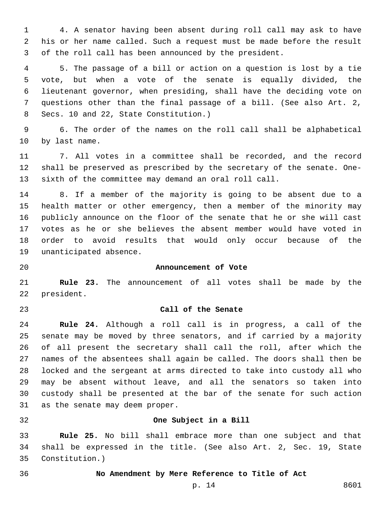4. A senator having been absent during roll call may ask to have his or her name called. Such a request must be made before the result of the roll call has been announced by the president.

 5. The passage of a bill or action on a question is lost by a tie vote, but when a vote of the senate is equally divided, the lieutenant governor, when presiding, shall have the deciding vote on questions other than the final passage of a bill. (See also Art. 2, 8 Secs. 10 and 22, State Constitution.)

 6. The order of the names on the roll call shall be alphabetical 10 by last name.

 7. All votes in a committee shall be recorded, and the record shall be preserved as prescribed by the secretary of the senate. One-sixth of the committee may demand an oral roll call.

 8. If a member of the majority is going to be absent due to a health matter or other emergency, then a member of the minority may publicly announce on the floor of the senate that he or she will cast votes as he or she believes the absent member would have voted in order to avoid results that would only occur because of the 19 unanticipated absence.

### **Announcement of Vote**

 **Rule 23.** The announcement of all votes shall be made by the 22 president.

## **Call of the Senate**

 **Rule 24.** Although a roll call is in progress, a call of the senate may be moved by three senators, and if carried by a majority of all present the secretary shall call the roll, after which the names of the absentees shall again be called. The doors shall then be locked and the sergeant at arms directed to take into custody all who may be absent without leave, and all the senators so taken into custody shall be presented at the bar of the senate for such action 31 as the senate may deem proper.

#### **One Subject in a Bill**

 **Rule 25.** No bill shall embrace more than one subject and that shall be expressed in the title. (See also Art. 2, Sec. 19, State Constitution.)35

#### **No Amendment by Mere Reference to Title of Act**

p. 14 8601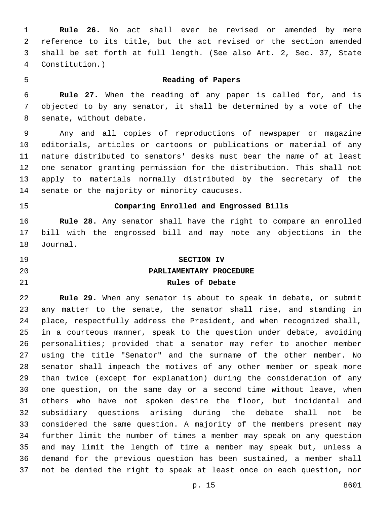**Rule 26.** No act shall ever be revised or amended by mere reference to its title, but the act revised or the section amended shall be set forth at full length. (See also Art. 2, Sec. 37, State Constitution.)4

#### **Reading of Papers**

 **Rule 27.** When the reading of any paper is called for, and is objected to by any senator, it shall be determined by a vote of the 8 senate, without debate.

 Any and all copies of reproductions of newspaper or magazine editorials, articles or cartoons or publications or material of any nature distributed to senators' desks must bear the name of at least one senator granting permission for the distribution. This shall not apply to materials normally distributed by the secretary of the 14 senate or the majority or minority caucuses.

# **Comparing Enrolled and Engrossed Bills**

 **Rule 28.** Any senator shall have the right to compare an enrolled bill with the engrossed bill and may note any objections in the 18 Journal.

# **SECTION IV PARLIAMENTARY PROCEDURE Rules of Debate**

 **Rule 29.** When any senator is about to speak in debate, or submit any matter to the senate, the senator shall rise, and standing in place, respectfully address the President, and when recognized shall, in a courteous manner, speak to the question under debate, avoiding personalities; provided that a senator may refer to another member using the title "Senator" and the surname of the other member. No senator shall impeach the motives of any other member or speak more than twice (except for explanation) during the consideration of any one question, on the same day or a second time without leave, when others who have not spoken desire the floor, but incidental and subsidiary questions arising during the debate shall not be considered the same question. A majority of the members present may further limit the number of times a member may speak on any question and may limit the length of time a member may speak but, unless a demand for the previous question has been sustained, a member shall not be denied the right to speak at least once on each question, nor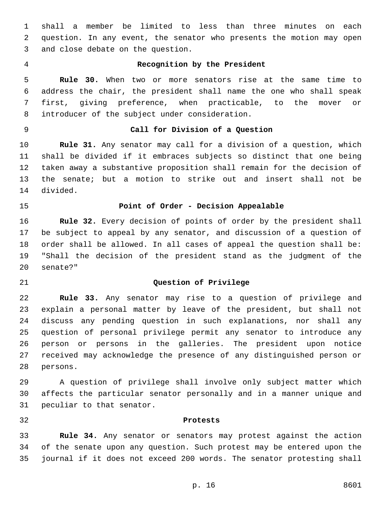shall a member be limited to less than three minutes on each question. In any event, the senator who presents the motion may open 3 and close debate on the question.

# **Recognition by the President**

 **Rule 30.** When two or more senators rise at the same time to address the chair, the president shall name the one who shall speak first, giving preference, when practicable, to the mover or 8 introducer of the subject under consideration.

# **Call for Division of a Question**

 **Rule 31.** Any senator may call for a division of a question, which shall be divided if it embraces subjects so distinct that one being taken away a substantive proposition shall remain for the decision of the senate; but a motion to strike out and insert shall not be 14 divided.

# **Point of Order - Decision Appealable**

 **Rule 32.** Every decision of points of order by the president shall be subject to appeal by any senator, and discussion of a question of order shall be allowed. In all cases of appeal the question shall be: "Shall the decision of the president stand as the judgment of the 20 senate?"

#### **Question of Privilege**

 **Rule 33.** Any senator may rise to a question of privilege and explain a personal matter by leave of the president, but shall not discuss any pending question in such explanations, nor shall any question of personal privilege permit any senator to introduce any person or persons in the galleries. The president upon notice received may acknowledge the presence of any distinguished person or 28 persons.

 A question of privilege shall involve only subject matter which affects the particular senator personally and in a manner unique and 31 peculiar to that senator.

#### **Protests**

 **Rule 34.** Any senator or senators may protest against the action of the senate upon any question. Such protest may be entered upon the journal if it does not exceed 200 words. The senator protesting shall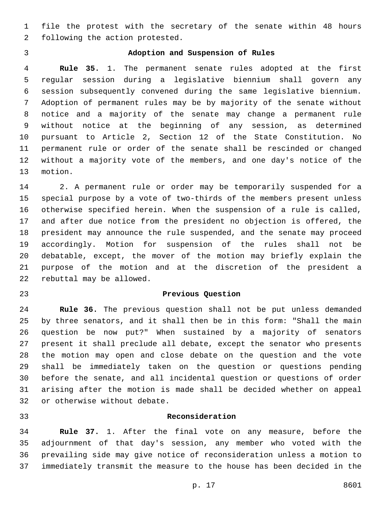file the protest with the secretary of the senate within 48 hours 2 following the action protested.

# **Adoption and Suspension of Rules**

 **Rule 35.** 1. The permanent senate rules adopted at the first regular session during a legislative biennium shall govern any session subsequently convened during the same legislative biennium. Adoption of permanent rules may be by majority of the senate without notice and a majority of the senate may change a permanent rule without notice at the beginning of any session, as determined pursuant to Article 2, Section 12 of the State Constitution. No permanent rule or order of the senate shall be rescinded or changed without a majority vote of the members, and one day's notice of the 13 motion.

 2. A permanent rule or order may be temporarily suspended for a special purpose by a vote of two-thirds of the members present unless otherwise specified herein. When the suspension of a rule is called, and after due notice from the president no objection is offered, the president may announce the rule suspended, and the senate may proceed accordingly. Motion for suspension of the rules shall not be debatable, except, the mover of the motion may briefly explain the purpose of the motion and at the discretion of the president a 22 rebuttal may be allowed.

#### **Previous Question**

 **Rule 36.** The previous question shall not be put unless demanded by three senators, and it shall then be in this form: "Shall the main question be now put?" When sustained by a majority of senators present it shall preclude all debate, except the senator who presents the motion may open and close debate on the question and the vote shall be immediately taken on the question or questions pending before the senate, and all incidental question or questions of order arising after the motion is made shall be decided whether on appeal 32 or otherwise without debate.

#### **Reconsideration**

 **Rule 37.** 1. After the final vote on any measure, before the adjournment of that day's session, any member who voted with the prevailing side may give notice of reconsideration unless a motion to immediately transmit the measure to the house has been decided in the

p. 17 8601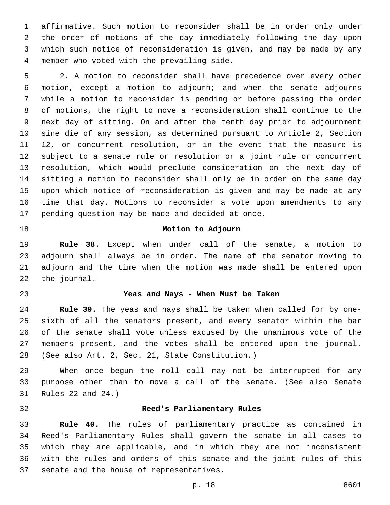affirmative. Such motion to reconsider shall be in order only under the order of motions of the day immediately following the day upon which such notice of reconsideration is given, and may be made by any member who voted with the prevailing side.4

 2. A motion to reconsider shall have precedence over every other motion, except a motion to adjourn; and when the senate adjourns while a motion to reconsider is pending or before passing the order of motions, the right to move a reconsideration shall continue to the next day of sitting. On and after the tenth day prior to adjournment sine die of any session, as determined pursuant to Article 2, Section 12, or concurrent resolution, or in the event that the measure is subject to a senate rule or resolution or a joint rule or concurrent resolution, which would preclude consideration on the next day of sitting a motion to reconsider shall only be in order on the same day upon which notice of reconsideration is given and may be made at any time that day. Motions to reconsider a vote upon amendments to any 17 pending question may be made and decided at once.

## **Motion to Adjourn**

 **Rule 38.** Except when under call of the senate, a motion to adjourn shall always be in order. The name of the senator moving to adjourn and the time when the motion was made shall be entered upon 22 the journal.

#### **Yeas and Nays - When Must be Taken**

 **Rule 39.** The yeas and nays shall be taken when called for by one- sixth of all the senators present, and every senator within the bar of the senate shall vote unless excused by the unanimous vote of the members present, and the votes shall be entered upon the journal. (See also Art. 2, Sec. 21, State Constitution.)28

 When once begun the roll call may not be interrupted for any purpose other than to move a call of the senate. (See also Senate 31 Rules 22 and 24.)

#### **Reed's Parliamentary Rules**

 **Rule 40.** The rules of parliamentary practice as contained in Reed's Parliamentary Rules shall govern the senate in all cases to which they are applicable, and in which they are not inconsistent with the rules and orders of this senate and the joint rules of this 37 senate and the house of representatives.

p. 18 8601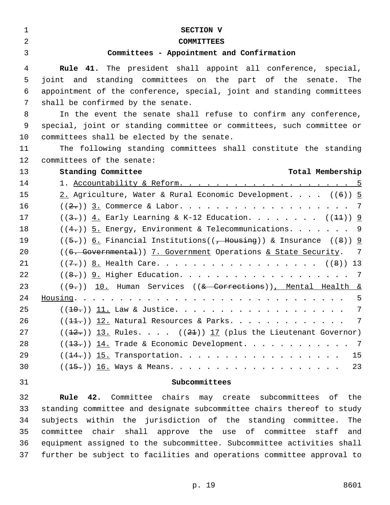| $\mathbf 1$    | SECTION V                                                                               |
|----------------|-----------------------------------------------------------------------------------------|
| $\overline{a}$ | <b>COMMITTEES</b>                                                                       |
| 3              | Committees - Appointment and Confirmation                                               |
| 4              | <b>Rule 41.</b> The president shall appoint all conference, special,                    |
| 5              | joint and standing committees on the part of the senate. The                            |
| 6              | appointment of the conference, special, joint and standing committees                   |
| 7              | shall be confirmed by the senate.                                                       |
| 8              | In the event the senate shall refuse to confirm any conference,                         |
| 9              | special, joint or standing committee or committees, such committee or                   |
| 10             | committees shall be elected by the senate.                                              |
| 11             | The following standing committees shall constitute the standing                         |
| 12             | committees of the senate:                                                               |
| 13             | Standing Committee<br>Total Membership                                                  |
| 14             | 1. Accountability & Reform. 5                                                           |
| 15             | 2. Agriculture, Water & Rural Economic Development. $((6))$ 5                           |
| 16             | $((2,))$ 3. Commerce & Labor. 7                                                         |
| 17             | $((3-))$ 4. Early Learning & K-12 Education. ( $(1+)$ ) 9                               |
| 18             | $((4,))$ 5. Energy, Environment & Telecommunications. 9                                 |
| 19             | $((5-))$ 6. Financial Institutions(( <del>, Housing</del> )) & Insurance ((8)) <u>9</u> |
| 20             | ((6. Governmental)) 7. Government Operations & State Security. 7                        |
| 21             | $((7-))$ 8. Health Care. ((8)) 13                                                       |
| 22             | $((8,))$ 9. Higher Education. 7                                                         |
| 23             | $((9,))$ 10. Human Services $((& \text{Corrections}))$ , Mental Health &                |
| 24             |                                                                                         |
| 25             | 7                                                                                       |
| 26             | $((11.))$ 12. Natural Resources & Parks. 7                                              |
| 27             | $((12.))$ 13. Rules. $((21))$ 17 (plus the Lieutenant Governor)                         |
| 28             | $((13.))$ 14. Trade & Economic Development. 7                                           |
| 29             | 15                                                                                      |
| 30             | 23<br>$((15\cdot))$ 16. Ways & Means.                                                   |
| 31             | Subcommittees                                                                           |
| 32             | 42. Committee chairs may create subcommittees of the<br><b>Rule</b>                     |
| 33             | standing committee and designate subcommittee chairs thereof to study                   |
| 34             | subjects within the jurisdiction of the standing committee.<br>The                      |
| 35             | committee chair shall approve the use of committee staff<br>and                         |
| 36             | equipment assigned to the subcommittee. Subcommittee activities shall                   |
| 37             | further be subject to facilities and operations committee approval to                   |
|                |                                                                                         |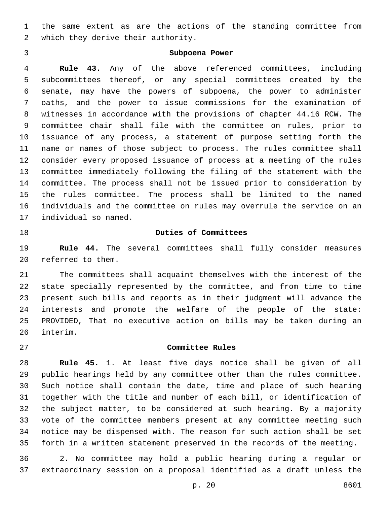the same extent as are the actions of the standing committee from 2 which they derive their authority.

# **Subpoena Power**

 **Rule 43.** Any of the above referenced committees, including subcommittees thereof, or any special committees created by the senate, may have the powers of subpoena, the power to administer oaths, and the power to issue commissions for the examination of witnesses in accordance with the provisions of chapter 44.16 RCW. The committee chair shall file with the committee on rules, prior to issuance of any process, a statement of purpose setting forth the name or names of those subject to process. The rules committee shall consider every proposed issuance of process at a meeting of the rules committee immediately following the filing of the statement with the committee. The process shall not be issued prior to consideration by the rules committee. The process shall be limited to the named individuals and the committee on rules may overrule the service on an 17 individual so named.

## **Duties of Committees**

 **Rule 44.** The several committees shall fully consider measures 20 referred to them.

 The committees shall acquaint themselves with the interest of the state specially represented by the committee, and from time to time present such bills and reports as in their judgment will advance the interests and promote the welfare of the people of the state: PROVIDED, That no executive action on bills may be taken during an 26 interim.

## **Committee Rules**

 **Rule 45.** 1. At least five days notice shall be given of all public hearings held by any committee other than the rules committee. Such notice shall contain the date, time and place of such hearing together with the title and number of each bill, or identification of the subject matter, to be considered at such hearing. By a majority vote of the committee members present at any committee meeting such notice may be dispensed with. The reason for such action shall be set forth in a written statement preserved in the records of the meeting.

 2. No committee may hold a public hearing during a regular or extraordinary session on a proposal identified as a draft unless the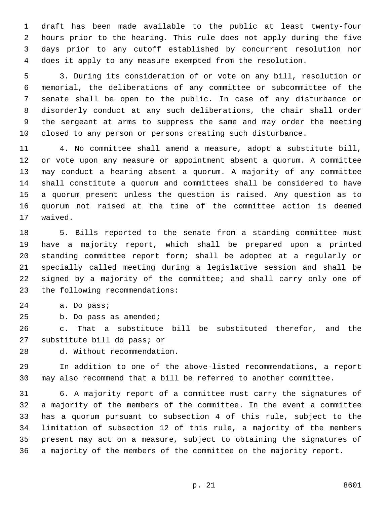draft has been made available to the public at least twenty-four hours prior to the hearing. This rule does not apply during the five days prior to any cutoff established by concurrent resolution nor does it apply to any measure exempted from the resolution.

 3. During its consideration of or vote on any bill, resolution or memorial, the deliberations of any committee or subcommittee of the senate shall be open to the public. In case of any disturbance or disorderly conduct at any such deliberations, the chair shall order the sergeant at arms to suppress the same and may order the meeting closed to any person or persons creating such disturbance.

 4. No committee shall amend a measure, adopt a substitute bill, or vote upon any measure or appointment absent a quorum. A committee may conduct a hearing absent a quorum. A majority of any committee shall constitute a quorum and committees shall be considered to have a quorum present unless the question is raised. Any question as to quorum not raised at the time of the committee action is deemed 17 waived.

 5. Bills reported to the senate from a standing committee must have a majority report, which shall be prepared upon a printed standing committee report form; shall be adopted at a regularly or specially called meeting during a legislative session and shall be signed by a majority of the committee; and shall carry only one of 23 the following recommendations:

24 a. Do pass;

25 b. Do pass as amended;

 c. That a substitute bill be substituted therefor, and the 27 substitute bill do pass; or

d. Without recommendation.28

 In addition to one of the above-listed recommendations, a report may also recommend that a bill be referred to another committee.

 6. A majority report of a committee must carry the signatures of a majority of the members of the committee. In the event a committee has a quorum pursuant to subsection 4 of this rule, subject to the limitation of subsection 12 of this rule, a majority of the members present may act on a measure, subject to obtaining the signatures of a majority of the members of the committee on the majority report.

p. 21 8601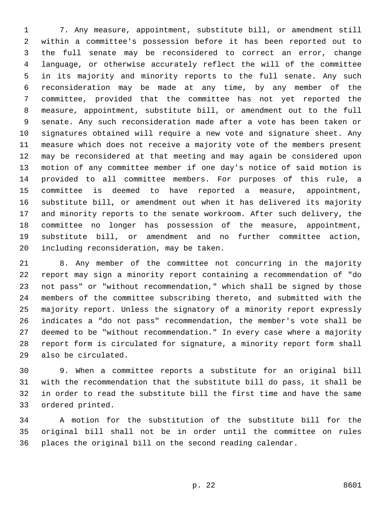7. Any measure, appointment, substitute bill, or amendment still within a committee's possession before it has been reported out to the full senate may be reconsidered to correct an error, change language, or otherwise accurately reflect the will of the committee in its majority and minority reports to the full senate. Any such reconsideration may be made at any time, by any member of the committee, provided that the committee has not yet reported the measure, appointment, substitute bill, or amendment out to the full senate. Any such reconsideration made after a vote has been taken or signatures obtained will require a new vote and signature sheet. Any measure which does not receive a majority vote of the members present may be reconsidered at that meeting and may again be considered upon motion of any committee member if one day's notice of said motion is provided to all committee members. For purposes of this rule, a committee is deemed to have reported a measure, appointment, substitute bill, or amendment out when it has delivered its majority and minority reports to the senate workroom. After such delivery, the committee no longer has possession of the measure, appointment, substitute bill, or amendment and no further committee action, 20 including reconsideration, may be taken.

 8. Any member of the committee not concurring in the majority report may sign a minority report containing a recommendation of "do not pass" or "without recommendation," which shall be signed by those members of the committee subscribing thereto, and submitted with the majority report. Unless the signatory of a minority report expressly indicates a "do not pass" recommendation, the member's vote shall be deemed to be "without recommendation." In every case where a majority report form is circulated for signature, a minority report form shall 29 also be circulated.

 9. When a committee reports a substitute for an original bill with the recommendation that the substitute bill do pass, it shall be in order to read the substitute bill the first time and have the same 33 ordered printed.

 A motion for the substitution of the substitute bill for the original bill shall not be in order until the committee on rules places the original bill on the second reading calendar.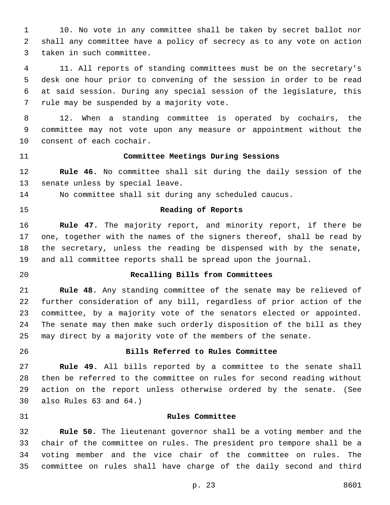10. No vote in any committee shall be taken by secret ballot nor shall any committee have a policy of secrecy as to any vote on action 3 taken in such committee.

 11. All reports of standing committees must be on the secretary's desk one hour prior to convening of the session in order to be read at said session. During any special session of the legislature, this 7 rule may be suspended by a majority vote.

 12. When a standing committee is operated by cochairs, the committee may not vote upon any measure or appointment without the 10 consent of each cochair.

### **Committee Meetings During Sessions**

 **Rule 46.** No committee shall sit during the daily session of the 13 senate unless by special leave.

No committee shall sit during any scheduled caucus.

#### **Reading of Reports**

 **Rule 47.** The majority report, and minority report, if there be one, together with the names of the signers thereof, shall be read by the secretary, unless the reading be dispensed with by the senate, and all committee reports shall be spread upon the journal.

# **Recalling Bills from Committees**

 **Rule 48.** Any standing committee of the senate may be relieved of further consideration of any bill, regardless of prior action of the committee, by a majority vote of the senators elected or appointed. The senate may then make such orderly disposition of the bill as they may direct by a majority vote of the members of the senate.

# **Bills Referred to Rules Committee**

 **Rule 49.** All bills reported by a committee to the senate shall then be referred to the committee on rules for second reading without action on the report unless otherwise ordered by the senate. (See 30 also Rules and  $64.$ )

#### **Rules Committee**

 **Rule 50.** The lieutenant governor shall be a voting member and the chair of the committee on rules. The president pro tempore shall be a voting member and the vice chair of the committee on rules. The committee on rules shall have charge of the daily second and third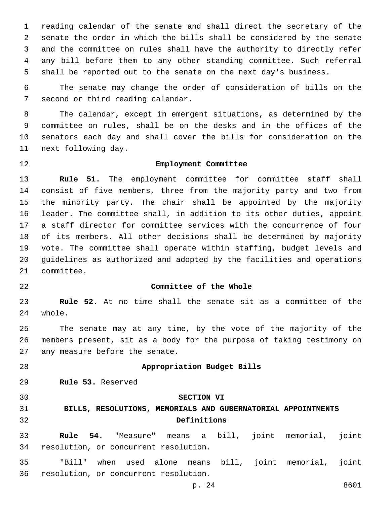reading calendar of the senate and shall direct the secretary of the senate the order in which the bills shall be considered by the senate and the committee on rules shall have the authority to directly refer any bill before them to any other standing committee. Such referral shall be reported out to the senate on the next day's business.

 The senate may change the order of consideration of bills on the 7 second or third reading calendar.

 The calendar, except in emergent situations, as determined by the committee on rules, shall be on the desks and in the offices of the senators each day and shall cover the bills for consideration on the 11 next following day.

#### **Employment Committee**

 **Rule 51.** The employment committee for committee staff shall consist of five members, three from the majority party and two from the minority party. The chair shall be appointed by the majority leader. The committee shall, in addition to its other duties, appoint a staff director for committee services with the concurrence of four of its members. All other decisions shall be determined by majority vote. The committee shall operate within staffing, budget levels and guidelines as authorized and adopted by the facilities and operations 21 committee.

#### **Committee of the Whole**

 **Rule 52.** At no time shall the senate sit as a committee of the 24 whole.

 The senate may at any time, by the vote of the majority of the members present, sit as a body for the purpose of taking testimony on 27 any measure before the senate.

# **Appropriation Budget Bills**

29 Rule 53. Reserved

#### **SECTION VI**

# **BILLS, RESOLUTIONS, MEMORIALS AND GUBERNATORIAL APPOINTMENTS Definitions**

 **Rule 54.** "Measure" means a bill, joint memorial, joint 34 resolution, or concurrent resolution.

 "Bill" when used alone means bill, joint memorial, joint 36 resolution, or concurrent resolution.

p. 24 8601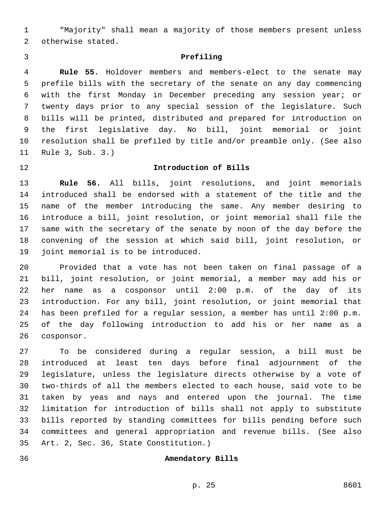"Majority" shall mean a majority of those members present unless 2 otherwise stated.

# **Prefiling**

 **Rule 55.** Holdover members and members-elect to the senate may prefile bills with the secretary of the senate on any day commencing with the first Monday in December preceding any session year; or twenty days prior to any special session of the legislature. Such bills will be printed, distributed and prepared for introduction on the first legislative day. No bill, joint memorial or joint resolution shall be prefiled by title and/or preamble only. (See also 11 Rule 3, Sub. 3.)

# **Introduction of Bills**

 **Rule 56.** All bills, joint resolutions, and joint memorials introduced shall be endorsed with a statement of the title and the name of the member introducing the same. Any member desiring to introduce a bill, joint resolution, or joint memorial shall file the same with the secretary of the senate by noon of the day before the convening of the session at which said bill, joint resolution, or 19 joint memorial is to be introduced.

 Provided that a vote has not been taken on final passage of a bill, joint resolution, or joint memorial, a member may add his or her name as a cosponsor until 2:00 p.m. of the day of its introduction. For any bill, joint resolution, or joint memorial that has been prefiled for a regular session, a member has until 2:00 p.m. of the day following introduction to add his or her name as a 26 cosponsor.

 To be considered during a regular session, a bill must be introduced at least ten days before final adjournment of the legislature, unless the legislature directs otherwise by a vote of two-thirds of all the members elected to each house, said vote to be taken by yeas and nays and entered upon the journal. The time limitation for introduction of bills shall not apply to substitute bills reported by standing committees for bills pending before such committees and general appropriation and revenue bills. (See also Art. 2, Sec. 36, State Constitution.)35

#### **Amendatory Bills**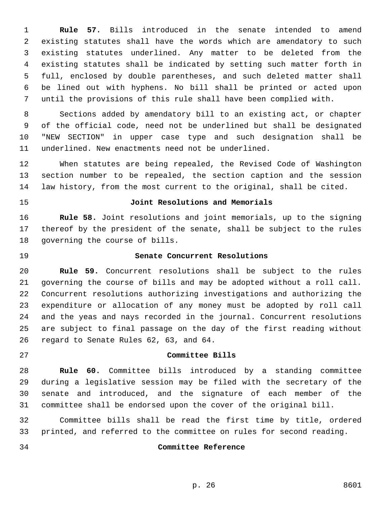**Rule 57.** Bills introduced in the senate intended to amend existing statutes shall have the words which are amendatory to such existing statutes underlined. Any matter to be deleted from the existing statutes shall be indicated by setting such matter forth in full, enclosed by double parentheses, and such deleted matter shall be lined out with hyphens. No bill shall be printed or acted upon until the provisions of this rule shall have been complied with.

 Sections added by amendatory bill to an existing act, or chapter of the official code, need not be underlined but shall be designated "NEW SECTION" in upper case type and such designation shall be underlined. New enactments need not be underlined.

 When statutes are being repealed, the Revised Code of Washington section number to be repealed, the section caption and the session law history, from the most current to the original, shall be cited.

# **Joint Resolutions and Memorials**

 **Rule 58.** Joint resolutions and joint memorials, up to the signing thereof by the president of the senate, shall be subject to the rules 18 governing the course of bills.

# **Senate Concurrent Resolutions**

 **Rule 59.** Concurrent resolutions shall be subject to the rules governing the course of bills and may be adopted without a roll call. Concurrent resolutions authorizing investigations and authorizing the expenditure or allocation of any money must be adopted by roll call and the yeas and nays recorded in the journal. Concurrent resolutions are subject to final passage on the day of the first reading without 26 regard to Senate Rules 62, 63, and 64.

#### **Committee Bills**

 **Rule 60.** Committee bills introduced by a standing committee during a legislative session may be filed with the secretary of the senate and introduced, and the signature of each member of the committee shall be endorsed upon the cover of the original bill.

 Committee bills shall be read the first time by title, ordered printed, and referred to the committee on rules for second reading.

#### **Committee Reference**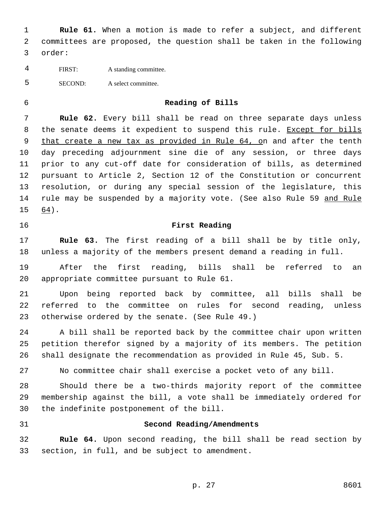**Rule 61.** When a motion is made to refer a subject, and different committees are proposed, the question shall be taken in the following 3 order:

- FIRST: A standing committee.
- SECOND: A select committee.
- 

#### **Reading of Bills**

 **Rule 62.** Every bill shall be read on three separate days unless 8 the senate deems it expedient to suspend this rule. Except for bills that create a new tax as provided in Rule 64, on and after the tenth day preceding adjournment sine die of any session, or three days prior to any cut-off date for consideration of bills, as determined pursuant to Article 2, Section 12 of the Constitution or concurrent resolution, or during any special session of the legislature, this 14 rule may be suspended by a majority vote. (See also Rule 59 and Rule 64).15

# **First Reading**

 **Rule 63.** The first reading of a bill shall be by title only, unless a majority of the members present demand a reading in full.

 After the first reading, bills shall be referred to an 20 appropriate committee pursuant to Rule 61.

 Upon being reported back by committee, all bills shall be referred to the committee on rules for second reading, unless 23 otherwise ordered by the senate. (See Rule 49.)

 A bill shall be reported back by the committee chair upon written petition therefor signed by a majority of its members. The petition shall designate the recommendation as provided in Rule 45, Sub. 5.

No committee chair shall exercise a pocket veto of any bill.

 Should there be a two-thirds majority report of the committee membership against the bill, a vote shall be immediately ordered for 30 the indefinite postponement of the bill.

### **Second Reading/Amendments**

 **Rule 64.** Upon second reading, the bill shall be read section by 33 section, in full, and be subject to amendment.

p. 27 8601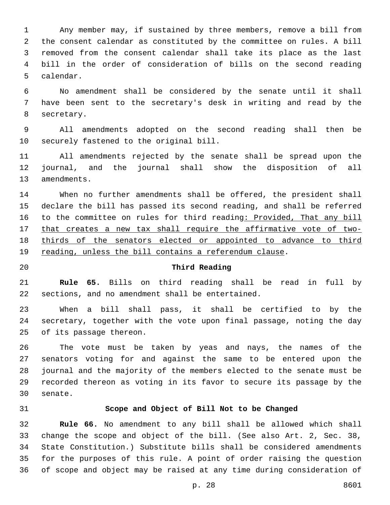Any member may, if sustained by three members, remove a bill from the consent calendar as constituted by the committee on rules. A bill removed from the consent calendar shall take its place as the last bill in the order of consideration of bills on the second reading 5 calendar.

 No amendment shall be considered by the senate until it shall have been sent to the secretary's desk in writing and read by the 8 secretary.

 All amendments adopted on the second reading shall then be 10 securely fastened to the original bill.

 All amendments rejected by the senate shall be spread upon the journal, and the journal shall show the disposition of all 13 amendments.

 When no further amendments shall be offered, the president shall declare the bill has passed its second reading, and shall be referred 16 to the committee on rules for third reading: Provided, That any bill that creates a new tax shall require the affirmative vote of two- thirds of the senators elected or appointed to advance to third 19 reading, unless the bill contains a referendum clause.

### **Third Reading**

 **Rule 65.** Bills on third reading shall be read in full by 22 sections, and no amendment shall be entertained.

 When a bill shall pass, it shall be certified to by the secretary, together with the vote upon final passage, noting the day 25 of its passage thereon.

 The vote must be taken by yeas and nays, the names of the senators voting for and against the same to be entered upon the journal and the majority of the members elected to the senate must be recorded thereon as voting in its favor to secure its passage by the 30 senate.

#### **Scope and Object of Bill Not to be Changed**

 **Rule 66.** No amendment to any bill shall be allowed which shall change the scope and object of the bill. (See also Art. 2, Sec. 38, State Constitution.) Substitute bills shall be considered amendments for the purposes of this rule. A point of order raising the question of scope and object may be raised at any time during consideration of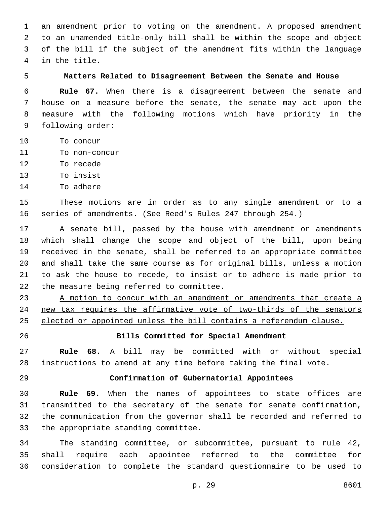an amendment prior to voting on the amendment. A proposed amendment to an unamended title-only bill shall be within the scope and object of the bill if the subject of the amendment fits within the language in the title.4

# **Matters Related to Disagreement Between the Senate and House**

 **Rule 67.** When there is a disagreement between the senate and house on a measure before the senate, the senate may act upon the measure with the following motions which have priority in the 9 following order:

- 10 To concur
- 11 To non-concur
- 12 To recede
- 13 To insist
- 14 To adhere

 These motions are in order as to any single amendment or to a series of amendments. (See Reed's Rules 247 through 254.)

 A senate bill, passed by the house with amendment or amendments which shall change the scope and object of the bill, upon being received in the senate, shall be referred to an appropriate committee and shall take the same course as for original bills, unless a motion to ask the house to recede, to insist or to adhere is made prior to 22 the measure being referred to committee.

 A motion to concur with an amendment or amendments that create a new tax requires the affirmative vote of two-thirds of the senators elected or appointed unless the bill contains a referendum clause.

# **Bills Committed for Special Amendment**

 **Rule 68.** A bill may be committed with or without special instructions to amend at any time before taking the final vote.

#### **Confirmation of Gubernatorial Appointees**

 **Rule 69.** When the names of appointees to state offices are transmitted to the secretary of the senate for senate confirmation, the communication from the governor shall be recorded and referred to 33 the appropriate standing committee.

 The standing committee, or subcommittee, pursuant to rule 42, shall require each appointee referred to the committee for consideration to complete the standard questionnaire to be used to